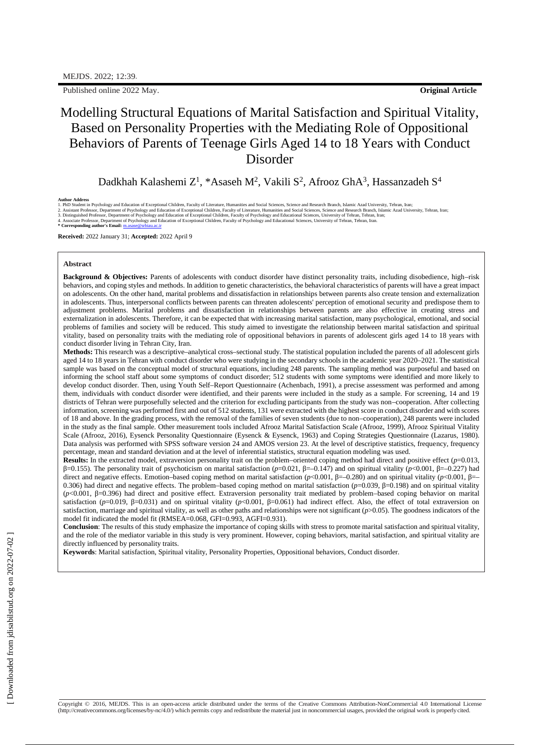Published online 2022 May. **Original Article**

# Modelling Structural Equations of Marital Satisfaction and Spiritual Vitality, Based on Personality Properties with the Mediating Role of Oppositional Behaviors of Parents of Teenage Girls Aged 14 to 18 Years with Conduct Disorder

Dadkhah Kalashemi Z<sup>1</sup>, \*Asaseh M<sup>2</sup>, Vakili S<sup>2</sup>, Afrooz GhA<sup>3</sup>, Hassanzadeh S<sup>4</sup>

#### **Author Address**

2. Assistant Professor, Department of Psychology and Education of Exceptional Children, Faculty of Literature, Humanities and Social Sciences, Science and Research Branch, Islamic Azad University, Tehran, Iran;<br>3. Disting

**Received:** 2022 January 31; **Accepted:** 2022 April 9

#### **Abstract**

**Background & Objectives:** Parents of adolescents with conduct disorder have distinct personality traits, including disobedience, high–risk behaviors, and coping styles and methods. In addition to genetic characteristics, the behavioral characteristics of parents will have a great impact on adolescents. On the other hand, marital problems and dissatisfaction in relationships between parents also create tension and externalization in adolescents. Thus, interpersonal conflicts between parents can threaten adolescents' perception of emotional security and predispose them to adjustment problems. Marital problems and dissatisfaction in relationships between parents are also effective in creating stress and externalization in adolescents. Therefore, it can be expected that with increasing marital satisfaction, many psychological, emotional, and social problems of families and society will be reduced. This study aimed to investigate the relationship between marital satisfaction and spiritual vitality, based on personality traits with the mediating role of oppositional behaviors in parents of adolescent girls aged 14 to 18 years with conduct disorder living in Tehran City, Iran.

**Methods:** This research was a descriptive–analytical cross–sectional study. The statistical population included the parents of all adolescent girls aged 14 to 18 years in Tehran with conduct disorder who were studying in the secondary schools in the academic year 2020–2021. The statistical sample was based on the conceptual model of structural equations, including 248 parents. The sampling method was purposeful and based on informing the school staff about some symptoms of conduct disorder; 512 students with some symptoms were identified and more likely to develop conduct disorder. Then, using Youth Self–Report Questionnaire (Achenbach, 1991), a precise assessment was performed and among them, individuals with conduct disorder were identified, and their parents were included in the study as a sample. For screening, 14 and 19 districts of Tehran were purposefully selected and the criterion for excluding participants from the study was non–cooperation. After collecting information, screening was performed first and out of 512 students, 131 were extracted with the highest score in conduct disorder and with scores of 18 and above. In the grading process, with the removal of the families of seven students (due to non–cooperation), 248 parents were included in the study as the final sample. Other measurement tools included Afrooz Marital Satisfaction Scale (Afrooz, 1999), Afrooz Spiritual Vitality Scale (Afrooz, 2016), Eysenck Personality Questionnaire (Eysenck & Eysenck, 1963) and Coping Strategies Questionnaire (Lazarus, 1980). Data analysis was performed with SPSS software version 24 and AMOS version 23. At the level of descriptive statistics, frequency, frequency percentage, mean and standard deviation and at the level of inferential statistics, structural equation modeling was used.

**Results:** In the extracted model, extraversion personality trait on the problem–oriented coping method had direct and positive effect (*p*=0.013, β=0.155). The personality trait of psychoticism on marital satisfaction (*p*=0.021, β=–0.147) and on spiritual vitality (*p*<0.001, β=–0.227) had direct and negative effects. Emotion–based coping method on marital satisfaction (*p*<0.001, β=–0.280) and on spiritual vitality (*p*<0.001, β=– 0.306) had direct and negative effects. The problem–based coping method on marital satisfaction (*p*=0.039, β=0.198) and on spiritual vitality (*p*<0.001, β=0.396) had direct and positive effect. Extraversion personality trait mediated by problem–based coping behavior on marital satisfaction (*p*=0.019, β=0.031) and on spiritual vitality (*p*<0.001, β=0.061) had indirect effect. Also, the effect of total extraversion on satisfaction, marriage and spiritual vitality, as well as other paths and relationships were not significant ( $p$ >0.05). The goodness indicators of the model fit indicated the model fit (RMSEA=0.068, GFI=0.993, AGFI=0.931).

**Conclusion**: The results of this study emphasize the importance of coping skills with stress to promote marital satisfaction and spiritual vitality, and the role of the mediator variable in this study is very prominent. However, coping behaviors, marital satisfaction, and spiritual vitality are directly influenced by personality traits.

**Keywords**: Marital satisfaction, Spiritual vitality, Personality Properties, Oppositional behaviors, Conduct disorder.

Copyright © 2016, MEJDS. This is an open-access article distributed under the terms of the Creative Commons Attribution-NonCommercial 4.0 International License<br>[\(http://creativecommons.org/licenses/by-nc/4.0/\)](http://creativecommons.org/licenses/by-nc/4.0/\)) which permits

<sup>1.</sup> PhD Student in Psychology and Education of Exceptional Children, Faculty of Literature, Humanities and Social Sciences, Science and Research Branch, Islamic Azad University, Tehran, Iran;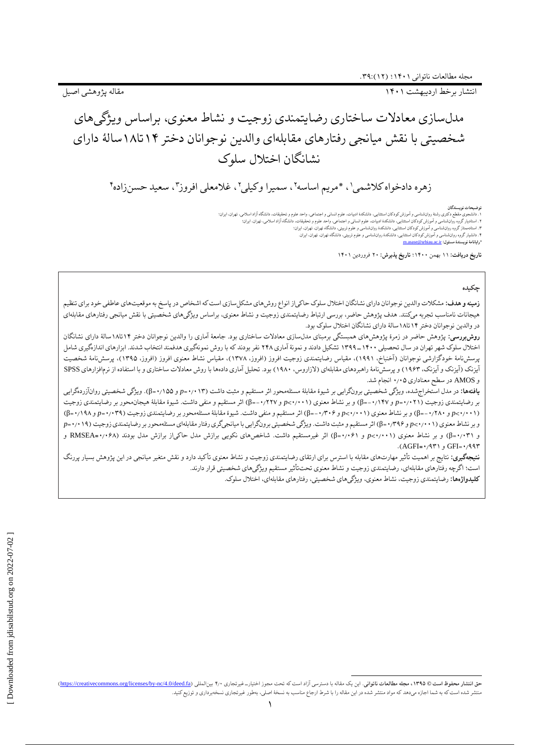انتشار برخط اردیبهشت 1۴۰1 مقاله پژوهشی اصیل

# مدلسازی معادالت ساختاری رضایتمندی زوجیت و نشاط معنوی، براساس ویژگیهای شخصیتی با نقش میانجی رفتارهای مقابلهای والدین نوجوانان دختر 1۴تا1۸سالٔه دارای نشانگان اختالل سلوک

زهره دادخواه کلاشمی'، \*مریم اساسه''، سمیرا وکیلی''، غلامعلی افروز"، سعید حسنزاده''

#### **توضیحات نویسندگان**

. دانشجوی مقطع دکتری رشتٔ روانشناسی و آموزش کودکان استثنایی، دانشکده ادبیاتی و اجتماعی، واحد علوم و تحقیقات، دانشگاه آزاد اسلامی، تهران، ایران؛<br>۱. استادیار گروه روانشناسی و آموزش کودکان استثنایی، دانشکدهٔ ادبیات، ایران اس .<br>۲. استادیار گروه روانشناسی و آموزش کودکان استثنایی، دانشکدهٔ ادبیات، علوم انسانی و اجتماعی، واحد علوم و تحقیقا .۳ استادممتاز گروه روانشناسی و آموزش کودکان استثنایی، دانشکدٔه روانشناسی و علوم تربیتی، دانشگاه تهران، تهران، ایران؛ .۴ دانشیار گروه روانشناسی و آموزش کودکان استثنایی، دانشکدٔه روانشناسی و علوم تربیتی، دانشگاه تهران، تهران، ایران. **\*رایانامٔه نویسندٔه مسئول:** [ir.ac.srbiau@asase.m](mailto:m.asase@srbiau.ac.ir)

**تاریخ دریافت:** 11 بهمن 1۴۰۰؛ **تاریخ پذیرش:** ۲۰ فروردین 1۴۰1

## **چکیده**

**زمینه و هدف:** مشکالت والدین نوجوانان دارای نشانگان اختالل سلوک حاکیاز انواع روشهای مشکلسازی است که اشخاص در پاسخ به موقعیتهای عاطفی خود برای تنظیم هیجانات نامناسب تجربه میکنند. هدف پژوهش حاضر، بررسی ارتباط رضایتمندی زوجیت و نشاط معنوی، براساس ویژگیهای شخصیتی با نقش میانجی رفتارهای مقابلهای در والدین نوجوانان دختر 1۴تا1۸سالٔه دارای نشانگان اختالل سلوک بود.

**روشبررسی:** پژوهش حاضر در زمرٔه پژوهشهای همبستگی برمبنای مدلسازی معادالت ساختاری بود. جامعٔه آماری را والدین نوجوانان دختر 1۴تا1۸سالٔه دارای نشانگان اختلال سلوک شهر تهران در سال تحصیلی ۱۴۰۰ ـ ۱۳۹۹ تشکیل دادند و نمونهٔ آماری ۲۴۸ نفر بودند که با روش نمونهگیری هدفمند انتخاب شدند. ابزارهای اندازهگیری شامل پرسشنامٔه خودگزارشی نوجوانان )آخنباخ، 1۹۹1(، مقیاس رضایتمندی زوجیت افروز )افروز، 1۳۷۸(، مقیاس نشاط معنوی افروز )افروز، 1۳۹۵(، پرسشنامٔه شخصیت آیزنک (آیزنک و آیزنک، ۱۹۶۳) و پرسشنامهٔ راهبردهای مقابلهای (لازاروس، ۱۹۸۰) بود. تحلیل آماری دادهها با روش معادلات ساختاری و با استفاده از نرمافزارهای SPSS و AMOS در سطح معناداری ۰٫۰۵ انجام شد.

**یافتهها:** در مدل استخراجشده، ویژگی شخصیتی برونگرایی بر شیؤه مقابلٔه مسئلهمحور اثر مستقیم و مثبت داشت )۰٫۰1۳=*p* و ۰٫1۵۵=β). ویژگی شخصیتی روانآزردهگرایی بر رضایتمندی زوجیت )۰٫۰۲1=*p* و -۰٫1۴۷=β )و بر نشاط معنوی )۰٫۰۰1<*p* و -۰٫۲۲۷=β )اثر مستقیم و منفی داشت. شیؤه مقابلٔه هیجانمحور بر رضایتمندی زوجیت )۰٫۰۰1<*p* و -۰٫۲۸۰=β )و بر نشاط معنوی )۰٫۰۰1<*p* و -۰٫۳۰۶=β )اثر مستقیم و منفی داشت. شیؤه مقابلٔه مسئلهمحور بر رضایتمندی زوجیت )۰٫۰۳۹=*p* و ۰٫1۹۸=β) و بر نشاط معنوی )۰٫۰۰1<*p* و ۰٫۳۹۶=β )اثر مستقیم و مثبت داشت. ویژگی شخصیتی برونگرایی با میانجیگری رفتار مقابلهای مسئلهمحور بر رضایتمندی زوجیت )۰٫۰1۹=*p* و ۰٫۰۳1=β )و بر نشاط معنوی )۰٫۰۰1<*p* و ۰٫۰۶1=β )اثر غیرمستقیم داشت. شاخصهای نکویی برازش مدل حاکیاز برازش مدل بودند )۰٫۰۶۸**=**RMSEA و .)AGFI**=**۰٫۹۳1 و GFI=۰٫۹۹۳

**نتیجهگیری:** نتایج بر اهمیت تأثیر مهارتهای مقابله با استرس برای ارتقای زضایتندی زوجیت و نشاط معنوی تأکید دارد و نقش متغیر میانجی در این پژوهش بسیار پررنگ است؛ اگرچه رفتارهای مقابلهای، رضایتمندی زوجیت و نشاط معنوی تحتتأثیر مستقیم ویژگیهای شخصیتی قرار دارند. **کلیدواژهها:** رضایتمندی زوجیت، نشاط معنوی، ویژگیهای شخصیتی، رفتارهای مقابلهای، اختالل سلوک.

حق انتشار محفوظ است @ ١٣٩٥، مجله مطالعات ناتواني. اين يك مقاله با دسترسي آزاد است كه تحت مجوز اختيارت غيرتجاري ٢٠٠ بينالمللي (https://creativecommons.org/licenses/by-nc/4.0/deed.fa) بهجله مطالعات ناتواني. اين دعت ماله با منتشر شده استکه به شما اجازه میدهد که مواد منتشر شده در این مقاله را با شرط ارجاع مناسب به نسخٔه اصلی، بهطور غیرتجاری نسخهبرداری و توزیعکنید.

 $\overline{a}$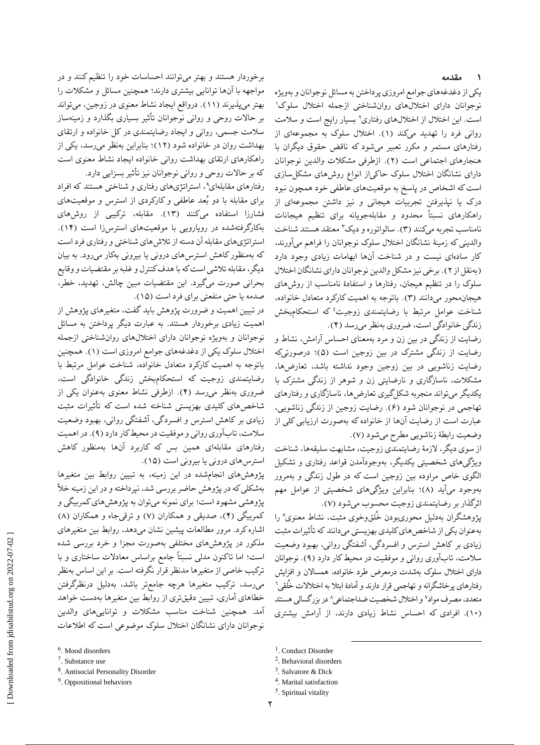## **۱ مقدمه**

یکی از دغدغههای جوامع امروزی پرداختن به مسائل نوجوانان و بهویژه 1 نوجوانان دارای اختاللهای روانشناختی ازجمله اختالل سلوک است. این اختلال از اختلال های رفتاری۲ بسیار رایج است و سلامت روانی فرد را تهدید میکند (۱). اختلال سلوک به مجموعهای از رفتارهای مستمر و مکرر تعبیر میشود که ناقض حقوق دیگران با هنجارهای اجتماعی است )۲(. ازطرفی مشکالت والدین نوجوانان دارای نشانگان اختالل سلوک حاکیاز انواع روشهای مشکلسازی است که اشخاص در پاسخ به موقعیتهای عاطفی خود همچون نبود درک یا نپذیرفتن تجربیات هیجانی و نیز داشتن مجموعهای از راهکارهای نسبتاً محدود و مقابلهجویانه برای تنظیم هیجانات نامناسب تجربه میکنند (۳). سالواتوره و دیک۳ معتقد هستند شناخت والدینی که زمینٔه نشانگان اختالل سلوک نوجوانان را فراهم میآورند، کار سادهای نیست و در شناخت آنها ابهامات زیادی وجود دارد )بهنقل از ۲(. برخی نیز مشکل والدین نوجوانان دارای نشانگان اختالل سلوک را در تنظیم هیجان، رفتارها و استفادٔه نامناسب از روشهای هیجانمحور میدانند )۳(. باتوجه به اهمیت کارکرد متعادل خانواده، شناخت عوامل مرتبط با رضایتمندی زوجیت<sup>؛</sup> که استحکامبخش زندگى خانوادگى است، ضرورى بهنظر مىرسد )۴(.

رضایت از زندگی در بین زن و مرد بهمعنای احساس آرامش، نشاط و رضایت از زندگی مشترک در بین زوجین است )۵(؛ درصورتیکه رضایت زناشویی در بین زوجین وجود نداشته باشد، تعارضها، مشکالت، ناسازگاری و نارضایتی زن و شوهر از زندگی مشترک با یکدیگر میتواند منجربه شکلگیری تعارضها، ناسازگاری و رفتارهای تهاجمی در نوجوانان شود )۶(. رضایت زوجین از زندگی زناشویی، عبارت است از رضایت آنها از خانواده که بهصورت ارزیابی کلی از وضعیت رابطٔه زناشویی مطرح میشود )۷(.

از سوی دیگر، الزمٔه رضایتمندی زوجیت، مشابهت سلیقهها، شناخت ویژگیهای شخصیتی یکدیگر، بهوجودآمدن قواعد رفتاری و تشکیل الگوی خاص مراوده بین زوجین است که در طول زندگی و بهمرور بهوجود میآید )۸(؛ بنابراین ویژگیهای شخصیتی از عوامل مهم اثرگذار بر رضایتمندی زوجیت محسوب میشود )۷(.

5 پژوهشگران بهدلیل محوریبودن خُلقوخوی مثبت، نشاط معنوی را بهعنوان یکی از شاخصهای کلیدی بهزیستی میدانند که تأثیرات مثبت زیادی بر کاهش استرس و افسردگی، آشفتگی روانی، بهبود وضعیت سالمت، تابآوری روانی و موفقیت در محیط کار دارد )۹(. نوجوانان دارای اختالل سلوک بهشدت درمعرض طرد خانواده، همساالن و افزایش 6 رفتارهای پرخاشگرانه و تهاجمی قرار دارند و آمادٔه ابتال به اختالالت خُلقی متعدد، مصرف مواد<sup>ر</sup> و اختلال شخصیت ضداجتماعی^ در بزرگسالی هستند )1۰(. افرادی که احساس نشاط زیادی دارند، از آرامش بیشتری

 $\overline{a}$ 

برخوردار هستند و بهتر میتوانند احساسات خود را تنظیم کنند و در مواجهه با آنها توانایی بیشتری دارند؛ همچنین مسائل و مشکالت را بهتر میپذیرند )11(. درواقع ایجاد نشاط معنوی در زوجین، میتواند بر حاالت روحی و روانی نوجوانان تأثیر بسیاری بگذارد و زمینهساز سالمت جسمی، روانی و ایجاد رضایتمندی در کل خانواده و ارتقای بهداشت روان در خانواده شود )1۲(؛ بنابراین بهنظر میرسد، یکی از راهکارهای ارتقای بهداشت روانی خانواده ایجاد نشاط معنوی است که بر حاالت روحی و روانی نوجوانان نیز تأثیر بسزایی دارد.

رفتارهای مقابلهای<sup>۹</sup>، استراتژیهای رفتاری و شناختی هستند که افراد برای مقابله با دو بُعد عاطفی و کارکردی از استرس و موقعیتهای فشارزا استفاده میکنند )1۳(. مقابله، ترکیبی از روشهای بهکارگرفتهشده در رویارویی با موقعیتهای استرسزا است )1۴(. استراتژیهای مقابله آن دسته از تالشهای شناختی و رفتاری فرد است که بهمنظور کاهش استرسهای درونی یا بیرونی بهکار میرود. به بیان دیگر، مقابله تالشی است که با هدف کنترل و غلبه بر مقتضیات و وقایع بحرانی صورت میگیرد. این مقتضیات مبین چالش، تهدید، خطر، صدمه یا حتی منفعتی برای فرد است )1۵(.

در تبیین اهمیت و ضرورت پژوهش باید گفت، متغیرهای پژوهش از اهمیت زیادی برخوردار هستند. به عبارت دیگر پرداختن به مسائل نوجوانان و بهویژه نوجوانان دارای اختاللهای روانشناختی ازجمله اختالل سلوک یکی از دغدغههای جوامع امروزی است )1(. همچنین باتوجه به اهمیت کارکرد متعادل خانواده، شناخت عوامل مرتبط با رضایتمندی زوجیت که استحکامبخش زندگى خانوادگى است، ضرورى بهنظر مىرسد )۴(. ازطرفی نشاط معنوی بهعنوان یکی از شاخصهای کلیدی بهزیستی شناخته شده است که تأثیرات مثبت زیادی بر کاهش استرس و افسردگی، آشفتگی روانی، بهبود وضعیت سالمت، تابآوری روانی و موفقیت در محیط کار دارد )۹(. در اهمیت رفتارهای مقابلهای همین بس که کاربرد آنها بهمنظور کاهش استرسهای درونی یا بیرونی است )1۵(.

پژوهشهای انجامشده در این زمینه، به تبیین روابط بین متغیرها بهشکلی که در پژوهش حاضر بررسی شد، نپرداخته و در این زمینه خأل پژوهشی مشهود است؛ برای نمونه میتوان به پژوهشهای کمربیگی و کمربیگی (۴)، صدیقی و همکاران (۷) و ترقیجاه و همکاران (۸) اشاره کرد. مرور مطالعات پیشین نشان میدهد، روابط بین متغیرهای مذکور در پژوهشهای مختلفی بهصورت مجزا و خرد بررسی شده است؛ اما تاکنون مدلی نسبتاً جامع براساس معادالت ساختاری و با ترکیب خاصی از متغیرها مدنظر قرار نگرفته است. بر این اساس بهنظر میرسد، ترکیب متغیرها هرچه جامعتر باشد، بهدلیل درنظرگرفتن خطاهای آماری، تبیین دقیقتری از روابط بین متغیرها بهدست خواهد آمد. همچنین شناخت مناسب مشکالت و تواناییهای والدین نوجوانان دارای نشانگان اختالل سلوک موضوعی است که اطالعات

8 . Antisocial Personality Disorder

<sup>&</sup>lt;sup>1</sup>. Conduct Disorder

<sup>2</sup> . Behavioral disorders

<sup>3</sup> . Salvatore & Dick

<sup>4</sup> . Marital satisfaction

<sup>5</sup> . Spiritual vitality

<sup>6</sup> . Mood disorders

<sup>7</sup> . Substance use

<sup>&</sup>lt;sup>9</sup>. Oppositional behaviors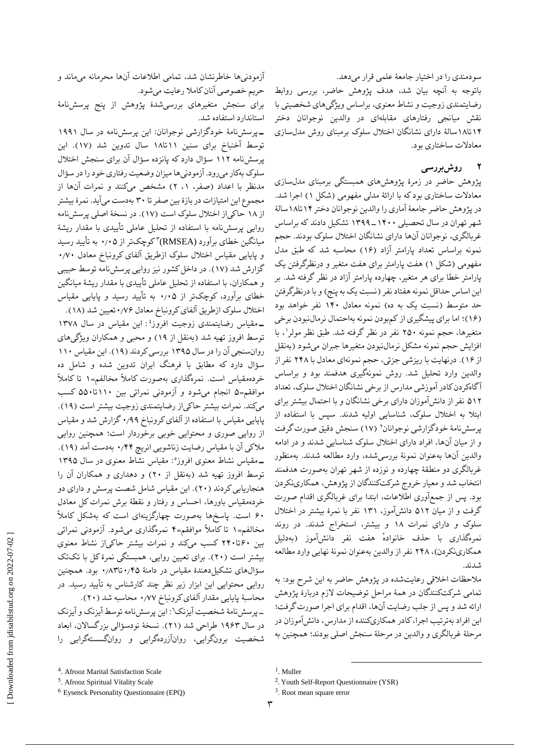سودمندی را در اختیار جامعٔه علمی قرار میدهد. باتوجه به آنچه بیان شد، هدف پژوهش حاضر، بررسی روابط رضایتمندی زوجیت و نشاط معنوی، براساس ویژگیهای شخصیتی با نقش میانجی رفتارهای مقابلهای در والدین نوجوانان دختر 1۴تا1۸سالٔه دارای نشانگان اختالل سلوک برمبنای روش مدلسازی معادالت ساختاری بود.

# **2 روشبررسی**

پژوهش حاضر در زمرٔه پژوهشهای همبستگی برمبنای مدلسازی معادالت ساختاری بود که با ارائٔه مدلی مفهومی )شکل 1( اجرا شد. در پژوهش حاضر جامعٔه آماری را والدین نوجوانان دختر 1۴تا1۸سالٔه شهر تهران در سال تحصیلی 1۳۹۹-1۴۰۰ تشکیل دادند که براساس غربالگری، نوجوانان آنها دارای نشانگان اختالل سلوک بودند. حجم نمونه براساس تعداد پارامتر آزاد )1۶( محاسبه شد که طبق مدل مفهومی )شکل 1( هفت پارامتر برای هفت متغیر و درنظرگرفتن یک پارامتر خطا برای هر متغیر، چهارده پارامتر آزاد در نظر گرفته شد. بر این اساس حداقل نمونه هفتاد نفر (نسبت یک به پنج) و با درنظرگرفتن حد متوسط )نسبت یک به ده( نمونه معادل 1۴۰ نفر خواهد بود )1۶(؛ اما برای پیشگیری از کمبودن نمونه بهاحتمال نرمالنبودن برخی 1 متغیرها، حجم نمونه ۲۵۰ نفر در نظر گرفته شد. طبق نظر مولر ، با افزایش حجم نمونه مشکل نرمالنبودن متغیرها جبران میشود )بهنقل از 1۶(. درنهایت با ریزشی جزئی، حجم نمونهای معادل با ۲۴۸ نفر از والدین وارد تحلیل شد. روش نمونهگیری هدفمند بود و براساس آگاهکردن کادر آموزشی مدارس از برخی نشانگان اختالل سلوک، تعداد ۵1۲ نفر از دانشآموزان دارای برخی نشانگان و با احتمال بیشتر برای ابتال به اختالل سلوک، شناسایی اولیه شدند. سپس با استفاده از پرسشنامهٔ خودگزارشی نوجوانان<sup>٬</sup> (۱۷) سنجش دقیق صورت گرفت و از میان آنها، افراد دارای اختالل سلوک شناسایی شدند و در ادامه والدین آنها بهعنوان نمونٔه بررسیشده، وارد مطالعه شدند. بهمنظور غربالگری دو منطقٔه چهارده و نوزده از شهر تهران بهصورت هدفمند انتخاب شد و معیار خروج شرکتکنندگان از پژوهش، همکارینکردن بود. پس از جمعآوری اطالعات، ابتدا برای غربالگری اقدام صورت گرفت و از میان ۵1۲ دانشآموز، 1۳1 نفر با نمرٔه بیشتر در اختالل سلوک و دارای نمرات 1۸ و بیشتر، استخراج شدند. در روند نمره ٔ گذاری با حذف خانواده هفت نفر دانشآموز )بهدلیل همکارینکردن)، ۲۴۸ نفر از والدین بهعنوان نمونهٔ نهایی وارد مطالعه شدند.

مالحظات اخالقی رعایتشده در پژوهش حاضر به این شرح بود: به تمامی شرکتکنندگان در همٔه مراحل توضیحات الزم دربارٔه پژوهش ارائه شد و پس از جلب رضایت آنها، اقدام برای اجرا صورت گرفت؛ این افراد بهترتیب اجرا، کادر همکاریکننده از مدارس، دانشآموزان در مرحلٔه غربالگری و والدین در مرحلٔه سنجش اصلی بودند؛ همچنین به

آزمودنیها خاطرنشان شد، تمامی اطالعات آنها محرمانه میماند و حریم خصوصی آنان کامال رعایت میشود.

برای سنجش متغیرهای بررسیشدٔه پژوهش از پنج پرسشنامٔه استاندارد استفاده شد.

**-**پرسشنامٔه خودگزارشی نوجوانان: این پرسشنامه در سال 1۹۹1 توسط آخنباخ برای سنین 11تا1۸ سال تدوین شد )1۷(. این پرسشنامه 11۲ سؤال دارد که پانزده سؤال آن برای سنجش اختالل سلوک بهکار میرود. آزمودنیها میزان وضعیت رفتاری خود را در سؤال مدنظر با اعداد )صفر، ،1 ۲( مشخص میکنند و نمرات آنها از مجموع این امتیازات در بازٔه بین صفر تا ۳۰ بهدست میآید. نمرٔه بیشتر از 1۸ حاکیاز اختالل سلوک است )1۷(. در نسخٔه اصلی پرسشنامه روایی پرسشنامه با استفاده از تحلیل عاملی تأییدی با مقدار ریشٔه میانگین خطای برآورد (RMSEA)۳ کوچکتر از ۰٫۰۵ به تأیید رسید و پایایی مقیاس اختالل سلوک ازطریق آلفای کرونباخ معادل ۰٫۷۰ گزارش شد )1۷(. در داخل کشور نیز روایی پرسشنامه توسط حبیبی و همکاران، با استفاده از تحلیل عاملی تأییدی با مقدار ریشٔه میانگین خطای برآورد، کوچکتر از ۰٫۰۵ به تأیید رسید و پایایی مقیاس اختلال سلوک ازطریق آلفای کرونباخ معادل ۰٫۷۶تعیین شد (۱۸).

: این مقیاس در سال 1۳۷۸ 4 **-**مقیاس رضایتمندی زوجیت افروز توسط افروز تهیه شد )بهنقل از 1۹( و محبی و همکاران ویژگیهای روانسنجی آن را در سال 1۳۹۵ بررسی کردند )1۹(. این مقیاس 11۰ سؤال دارد که مطابق با فرهنگ ایران تدوین شده و شامل ده خردهمقیاس است. نمرهگذاری بهصورت کامالً مخالفم=1 تا کامالً موافقم=۵ انجام میشود و آزمودنی نمراتی بین 11۰تا۵۵۰ کسب میکند. نمرات بیشتر حاکیاز رضایتمندی زوجیت بیشتر است )1۹(. پایایی مقیاس با استفاده از آلفای کرونباخ ۰٫۹۹گزارش شد و مقیاس از روایی صوری و محتوایی خوبی برخوردار است؛ همچنین روایی مالکی آن با مقیاس رضایت زناشویی انریچ ۰٫۴۴ بهدست آمد )1۹(. : مقیاس نشاط معنوی در سال 1۳۹۵ 5 **-**مقیاس نشاط معنوی افروز توسط افروز تهیه شد )بهنقل از ۲۰( و دهداری و همکاران آن را هنجاریابی کردند )۲۰(. این مقیاس شامل شصت پرسش و دارای دو خردهمقیاس باورها، احساس و رفتار و نقطٔه برش نمرات کل معادل ۶۰ است. پاسخها بهصورت چهارگزینهای است که بهشکل کامالً مخالفم=1 تا کامالً موافقم=۴ نمرهگذاری میشود. آزمودنی نمراتی بین ۶۰تا۲۴۰ کسب میکند و نمرات بیشتر حاکیاز نشاط معنوی بیشتر است )۲۰(. برای تعیین روایی، همبستگی نمرٔه کل با تکتک سؤالهای تشکیلدهندٔه مقیاس در دامنٔه ۰٫۴۵تا۰٫۸۳ بود. همچنین روایی محتوایی این ابزار زیر نظر چند کارشناس به تأیید رسید. در

محاسبٔه پایایی مقدار آلفای کرونباخ ۰٫۷۷ محاسبه شد )۲۰(. -پرسشنامٔه شخصیت آیزنک:<sup>6</sup> این پرسشنامه توسط آیزنک و آیزنک در سال 1۹۶۳ طراحی شد )۲1(. نسخٔه نودسؤالی بزرگساالن، ابعاد شخصیت برونگرایی، روانآزردهگرایی و روانگسستهگرایی را

 $\overline{a}$ 

<sup>4</sup> . Afrooz Marital Satisfaction Scale

<sup>5</sup> . Afrooz Spiritual Vitality Scale

<sup>6</sup>. Eysenck Personality Questionnaire (EPQ)

<sup>&</sup>lt;sup>1</sup>. Muller

<sup>&</sup>lt;sup>2</sup>. Youth Self-Report Questionnaire (YSR)

<sup>&</sup>lt;sup>3</sup>. Root mean square error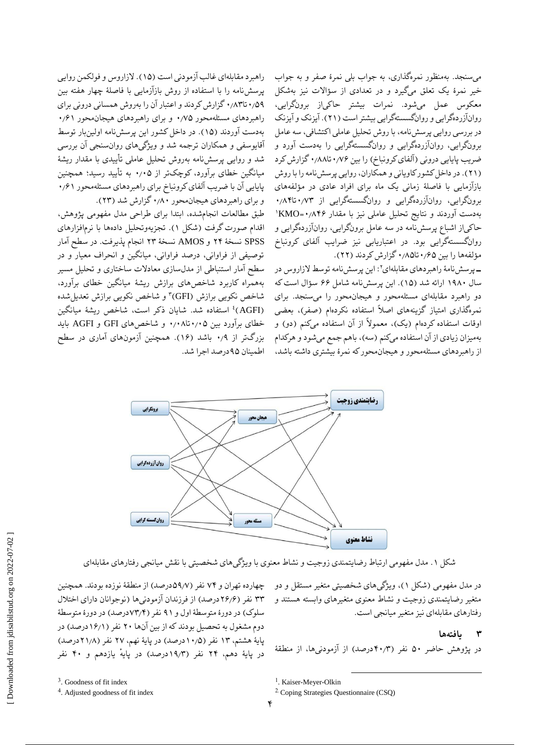میسنجد. بهمنظور نمرهگذاری، به جواب بلی نمرٔه صفر و به جواب خیر نمرٔه یک تعلق میگیرد و در تعدادی از سؤاالت نیز بهشکل معکوس عمل میشود. نمرات بیشتر حاکیاز برونگرایی، روانآزردهگرایی و روانگسستهگرایی بیشتر است )۲1(. آیزنک و آیزنک در بررسی روایی پرسشنامه، با روش تحلیل عاملی اکتشافی، سه عامل برونگرایی، روانآزردهگرایی و روانگسستهگرایی را بهدست آورد و ضریب پایایی درونی (آلفای کرونباخ) را بین ۰٫۸۶تا۰٫۸۸ گزارش کرد )۲1(. در داخل کشور کاویانی و همکاران، روایی پرسشنامه را با روش بازآزمایی با فاصلٔه زمانی یک ماه برای افراد عادی در مؤلفههای برونگرایی، روانآزردهگرایی و روانگسستهگرایی از ۰٫۷۳تا۰٫۸۴ 1 بهدست آوردند و نتایج تحلیل عاملی نیز با مقدار ۰٫۸۴۶=KMO حاکیاز اشباع پرسشنامه در سه عامل برونگرایی، روانآزردهگرایی و روانگسستهگرایی بود. در اعتباریابی نیز ضرایب آلفای کرونباخ

> مؤلفهها را بین ۰٫۶۵تا۰٫۸۵ گزارش کردند (۲۲). **-**پرسشنامٔه راهبردهای مقابلهای:<sup>۲</sup> این پرسشنامه توسط الزاروس در سال 1۹۸۰ ارائه شد )1۵(. این پرسشنامه شامل ۶۶ سؤال است که دو راهبرد مقابلهای مسئلهمحور و هیجانمحور را میسنجد. برای نمرهگذاری امتیاز گزینههای اصلاً استفاده نکردهام (صفر)، بعضی اوقات استفاده کردهام (یک)، معمولاً از آن استفاده میکنم (دو) و بهمیزان زیادی از آن استفاده میکنم )سه(، باهم جمع میشود و هرکدام از راهبردهای مسئلهمحور و هیجانمحور که نمرٔه بیشتری داشته باشد،

راهبرد مقابلهای غالب آزمودنی است )1۵(. الزاروس و فولکمن روایی پرسشنامه را با استفاده از روش بازآزمایی با فاصلٔه چهار هفته بین ۰٫۵۹تا۰٫۸۳گزارش کردند و اعتبار آن را بهروش همسانی درونی برای راهبردهای مسئلهمحور ۰٫۷۵ و برای راهبردهای هیجانمحور ۰٫۶1 بهدست آوردند )1۵(. در داخل کشور این پرسشنامه اولینبار توسط آقایوسفی و همکاران ترجمه شد و ویژگیهای روانسنجی آن بررسی شد و روایی پرسشنامه بهروش تحلیل عاملی تأییدی با مقدار ریشٔه میانگین خطای برآورد، کوچکتر از ۰٫۰۵ به تأیید رسید؛ همچنین پایایی آن با ضریب آلفای کرونباخ برای راهبردهای مسئلهمحور ۰٫۶1 و برای راهبردهای هیجانمحور ۰٫۸۰گزارش شد )۲۳(.

طبق مطالعات انجامشده، ابتدا برای طراحی مدل مفهومی پژوهش، اقدام صورت گرفت )شکل 1(. تجزیهوتحلیل دادهها با نرمافزارهای SPSS نسخٔه ۲۴ و AMOS نسخٔه ۲۳ انجام پذیرفت. در سطح آمار توصیفی از فراوانی، درصد فراوانی، میانگین و انحراف معیار و در سطح آمار استنباطی از مدلسازی معادالت ساختاری و تحلیل مسیر بههمراه کاربرد شاخصهای برازش ریشٔه میانگین خطای برآورد، ۳ شاخص نکویی برازش )GFI) و شاخص نکویی برازش تعدیلشده (AGFI)<sup>؛</sup> استفاده شد. شایان ذکر است، شاخص ریشهٔ میانگین خطای برآورد بین ۰٫۰۵تا۰٫۰۸ و شاخصهای GFI و AGFI باید بزرگتر از ۰٫۹ باشد )1۶(. همچنین آزمونهای آماری در سطح اطمینان ۹۵درصد اجرا شد.



شکل .1 مدل مفهومی ارتباط رضایتمندی زوجیت و نشاط معنوی با ویژگیهای شخصیتی با نقش میانجی رفتارهای مقابلهای

در مدل مفهومی )شکل 1(، ویژگیهای شخصیتی متغیر مستقل و دو متغیر رضایتمندی زوجیت و نشاط معنوی متغیرهای وابسته هستند و رفتارهای مقابلهای نیز متغیر میانجی است.

## **۳ یافتهها**

در پژوهش حاضر ۵۰ نفر (۴۰٫۳درصد) از آزمودنیها، از منطقهٔ

چهارده تهران و ۷۴ نفر )۵۹٫۷درصد( از منطقٔه نوزده بودند. همچنین ۳۳ نفر )۲۶٫۶درصد( از فرزندان آزمودنیها )نوجوانان دارای اختالل سلوک) در دورهٔ متوسطهٔ اول و ۹۱ نفر (۷۳٫۴درصد) در دورهٔ متوسطهٔ دوم مشغول به تحصیل بودند که از بین آنها ۲۰ نفر (۱۶/۱درصد) در پایهٔ هشتم، ۱۳ نفر (۱۰٫۵درصد) در پایهٔ نهم، ۲۷ نفر (۲۱٫۸درصد) در پایهٔ دهم، ۲۴ نفر (۱۹٫۳درصد) در پایهٔ یازدهم و ۴۰ نفر

4 . Adjusted goodness of fit index

 $\overline{a}$ 

<sup>&</sup>lt;sup>3</sup>. Goodness of fit index

<sup>&</sup>lt;sup>1</sup>. Kaiser-Meyer-Olkin

<sup>2</sup>. Coping Strategies Questionnaire (CSQ)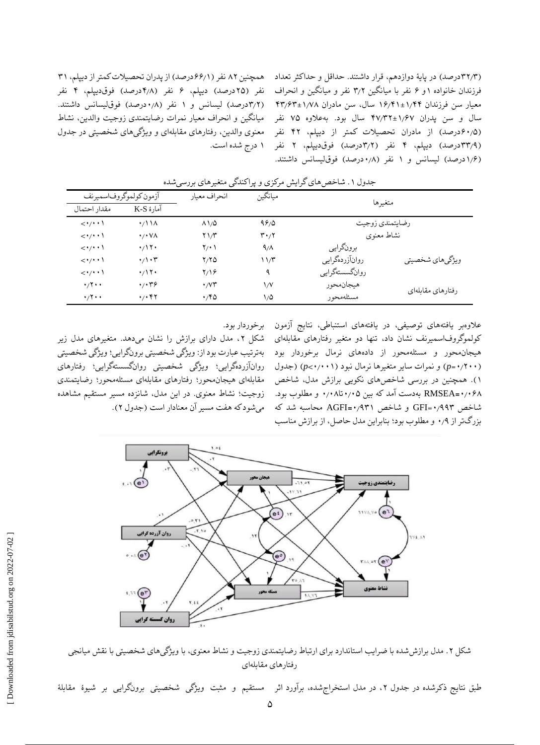نفر )۲۵درصد( دیپلم، ۶ نفر )۴٫۸درصد( فوقدیپلم، ۴ نفر )۳٫۲درصد( لیسانس و 1 نفر )۰٫۸درصد( فوقلیسانس داشتند. میانگین و انحراف معیار نمرات رضایتمندی زوجیت والدین، نشاط

(۳۲/۳درصد) در پایهٔ دوازدهم، قرار داشتند. حداقل و حداکثر تعداد مسمچنین ۸۲ نفر (۶۶٫۱درصد) از پدران تحصیلات کمتر از دیپلم، ۳۱ فرزندان خانواده 1و ۶ نفر با میانگین ۳٫۲ نفر و میانگین و انحراف معیار سن فرزندان 1۶٫۴1±1٫۴۴ سال، سن مادران ۴۳٫۶۳±1٫۷۸ سال و سن پدران ۴۷٫۳۲±1٫۶۷ سال بود. بهعالوه ۷۵ نفر (۶۰٫۵درصد) از مادران تحصیلات کمتر از دیپلم، ۴۲ نفر ً معنوی والدین، رفتارهای مقابلهای و ویژگیهای شخصیتی در جدول (۳۳٫۹درصد) دیپلم، ۴ نفر (۳٫۲درصد) فوقدیپلم، ۲ نفر ۱ درج شده|ست. (۱٫۶درصد) لیسانس و ۱ نفر (۰٫۸درصد) فوق لیسانس داشتند.

| آزمون كولموگروفاسميرنف              |                                         | انحراف معيار             | ميانگين | متغيرها         |                   |  |
|-------------------------------------|-----------------------------------------|--------------------------|---------|-----------------|-------------------|--|
| مقدار احتمال                        | آمارهٔ K-S                              |                          |         |                 |                   |  |
| $\langle \cdot/\cdot \cdot \rangle$ | $\cdot$ / \ \ $\wedge$                  | $\Lambda \frac{1}{0}$    | 99/0    | رضايتمندى زوجيت |                   |  |
| $\langle \cdot/\cdot \cdot \rangle$ | $\cdot$ / $\cdot$ YA                    | $Y \frac{1}{T}$          | ۰٫۲ م   | نشاط معنوى      |                   |  |
| <*/* * \                            | $\cdot/17$                              | $\Upsilon/\cdot$ )       | 9/1     | برونگرايي       |                   |  |
| $\langle \cdot/\cdot \cdot \rangle$ | $\cdot/\cdot$ ۳                         | 7/70                     | ۱۱/۳    | روانآزردهگرایی  | ويژگىهاي شخصيتي   |  |
| $\langle \cdot/\cdot \cdot \rangle$ | $\cdot$ /۱۲۰                            | ۱۶/۱۶                    | ٩       | روانگسستهگرایپی |                   |  |
| $\cdot$ /۲ $\cdot$                  | $\cdot$ , $\cdot$ $\cdot$ $\cdot$       | $\cdot$ / $\vee$ $\star$ | ۱٬۷     | هيجانمحور       |                   |  |
| $\cdot$ /۲ $\cdot$                  | $\cdot$ / $\cdot$ $\uparrow$ $\uparrow$ | $\cdot$ ۴۵               | ۱٬۵     | مسئلەمحور       | رفتارهاي مقابلهاي |  |

جدول ۱. شاخص های گرایش مرکزی و پراکندگی متغیرهای بررسی شده

شکل ،۲ مدل دارای برازش را نشان میدهد. متغیرهای مدل زیر بهترتیب عبارت بود از: ویژگی شخصیتی برونگرایی؛ ویژگی شخصیتی روانآزردهگرایی؛ ویژگی شخصیتی روانگسستهگرایی؛ رفتارهای مقابلهای هیجانمحور؛ رفتارهای مقابلهای مسئلهمحور؛ رضایتمندی زوجیت؛ نشاط معنوی. در این مدل، شانزده مسیر مستقیم مشاهده

عالوهبر یافتههای توصیفی، در یافتههای استنباطی، نتایج آزمون برخوردار بود. کولموگروفاسمیرنف نشان داد، تنها دو متغیر رفتارهای مقابلهای هیجانمحور و مسئلهمحور از دادههای نرمال برخوردار بود )۰٫۲۰۰=*p* )و نمرات سایر متغیرها نرمال نبود )۰٫۰۰1<*p*( )جدول 1(. همچنین در بررسی شاخصهای نکویی برازش مدل، شاخص ۰٫۰۶۸**=**RMSEA بهدست آمد که بین ۰٫۰۵تا۰٫۰۸ و مطلوب بود. شاخص ۰٫۹۹۳=GFI و شاخص ۰٫۹۳1**=**AGFI محاسبه شد که میشود که هفت مسیر آن معنادار است )جدول ۲(. بزرگتر از ۰٫۹ و مطلوب بود؛ بنابراین مدل حاصل، از برازش مناسب



شکل ۲. مدل برازش شده با ضرایب استاندارد برای ارتباط رضایتمندی زوجیت و نشاط معنوی، با ویژگیهای شخصیتی با نقش میانجی رفتارهای مقابلهای

طبق نتایج ذکرشده در جدول ۲، در مدل استخراج شده، برآورد اثر مستقیم و مثبت ویژگی شخصیتی برونگرایی بر شیوهٔ مقابلهٔ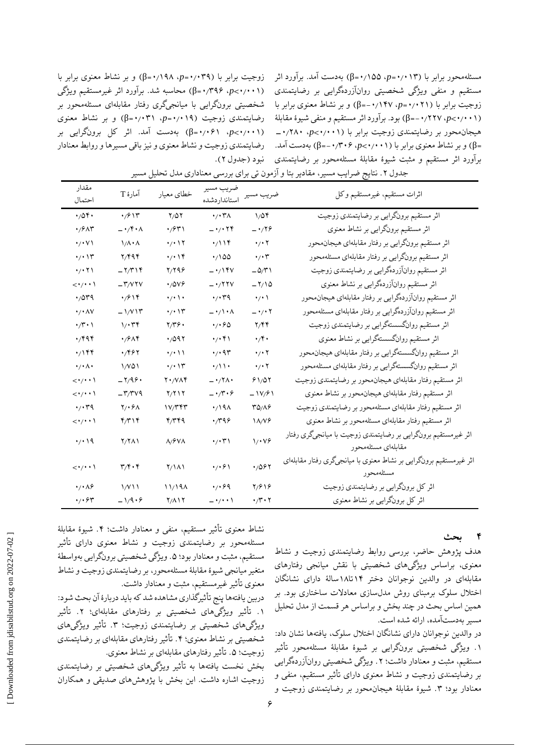زوجیت برابر با )۰٫۰۳۹=*p*، ۰٫1۹۸=β )و بر نشاط معنوی برابر با )۰٫۰۰1<*p*، ۰٫۳۹۶=β )محاسبه شد. برآورد اثر غیرمستقیم ویژگی شخصیتی برونگرایی با میانجیگری رفتار مقابلهای مسئلهمحور بر رضایتمندی زوجیت )۰٫۰1۹=*p*، ۰٫۰۳1=β )و بر نشاط معنوی )۰٫۰۰1<*p*، ۰٫۰۶1=β )بهدست آمد. اثر کل برونگرایی بر رضایتمندی زوجیت و نشاط معنوی و نیز باقی مسیرها و روابط معنادار نبود (جدول ۲).

مسئلهمحور برابر با )۰٫۰1۳=*p*، ۰٫1۵۵=β )بهدست آمد. برآورد اثر مستقیم و منفی ویژگی شخصیتی روانآزردهگرایی بر رضایتمندی زوجیت برابر با )۰٫۰۲1=*p*، -۰٫1۴۷=β )و بر نشاط معنوی برابر با )۰٫۰۰1<*p*، -۰٫۲۲۷=β )بود. برآورد اثر مستقیم و منفی شیؤه مقابلٔه هیجانمحور بر رضایتمندی زوجیت برابر با )۰٫۰۰1<*p*، -۰٫۲۸۰ =β )و بر نشاط معنوی برابر با )۰٫۰۰1<*p*، -۰٫۳۰۶=β )بهدست آمد. برآورد اثر مستقیم و مثبت شیؤه مقابلٔه مسئلهمحور بر رضایتمندی

| مقدار<br>احتمال                         | آمارهٔ T                                     | خطاي معيار                      | ضريب مسير<br>استانداردشده         | ضريب مسير                         | اثرات مستقيم، غيرمستقيم وكل                                                         |
|-----------------------------------------|----------------------------------------------|---------------------------------|-----------------------------------|-----------------------------------|-------------------------------------------------------------------------------------|
| $\cdot$ /0۴.                            | $\cdot$ /۶۱۳                                 | $\mathbf{Y}/\Delta\,\mathbf{Y}$ | $\cdot$ / $\cdot$ ۳۸              | $1/\Delta$ ۴                      | اثر مستقیم برونگرایی بر رضایتمندی زوجیت                                             |
| $\cdot$ / $5\wedge$ ۳                   | $-\cdot$ /۴۰۸                                | ۰٫۶۳۱                           | $- \cdot$ / $\cdot$ $\tau$ ۴      | $-179$                            | اثر مستقیم برونگرایی بر نشاط معنوی                                                  |
| $\cdot$ / $\cdot$ Y)                    | $1/\Lambda \cdot \Lambda$                    | $\cdot$ / $\cdot$ \ $\cdot$     | $\cdot/\iota$                     | $\cdot$ / $\cdot$ $\cdot$         | اثر مستقیم برونگرایی بر رفتار مقابلهای هیجانهحور                                    |
| $\cdot$ / $\cdot$ \r                    | $Y/Y$ ۹۴                                     | $\cdot$ / $\cdot$               | $\cdot/100$                       | $\cdot/\cdot$ ۳                   | اثر مستقیم برونگرایی بر رفتار مقابلهای مسئلهمحور                                    |
| $\cdot$ / $\cdot$ $\uparrow$ $\uparrow$ | $-\mathbf{Y}/\mathbf{T}$                     | $Y/Y$ ۹۶                        | $- \cdot / \cdot$                 | $-\Delta/\Upsilon$                | اثر مستقیم روانآزردهگرایی بر رضایتمندی زوجیت                                        |
| $\langle \cdot/\cdot \cdot \rangle$     | $-\mathsf{r}/\mathsf{v}\mathsf{r}\mathsf{v}$ | $\cdot$ /0 $v$ ۶                | $- \cdot$ /۲۲ $v$                 | $-\frac{1}{2}$                    | اثر مستقیم روانآزردهگرایی بر نشاط معنوی                                             |
| $\cdot$ /0۳۹                            | $\frac{1}{2}$                                | $\cdot$ / $\cdot$               | $\cdot$ / $\cdot$ ۳۹              | $\cdot$ / $\cdot$                 | اثر مستقیم روانآزردهگرایی بر رفتار مقابلهای هیجانهحور                               |
| $\cdot$ / $\cdot$ AV                    | $-\frac{1}{\sqrt{1-\lambda}}$                | $\cdot$ / $\cdot$ \r            | $-\cdot/\cdot \wedge$             | $-\cdot$ / $\cdot$ $\cdot$        | اثر مستقیم روانآزردهگرایی بر رفتار مقابلهای مسئلهمحور                               |
| $\cdot/\mathsf{r}\cdot\mathsf{r}$       | $1/\cdot$ ۳۴                                 | ۲/۳۶۰                           | $\cdot$ / $\cdot$ $\circ$ $\circ$ | Y/Y                               | اثر مستقیم روانگسستهگرایی بر رضایتمندی زوجیت                                        |
| $\cdot$ /۴۹۴                            | $\cdot$ /۶۸۴                                 | 4/097                           | $\cdot$ / $\cdot$ ۴۱              | $\cdot$ /۴ $\cdot$                | اثر مستقیم روانگسستهگرایی بر نشاط معنوی                                             |
| $\cdot / \sqrt{55}$                     | $\cdot$ /۴۶۲                                 | $\cdot$ / $\cdot$               | $\cdot$ / $\cdot$ 9٣              | $\cdot$ / $\cdot$ $\cdot$         | اثر مستقیم روانگسستهگرایی بر رفتار مقابلهای هیجان.حور                               |
| $\cdot/\cdot \wedge \cdot$              | 1/VQ1                                        | $\cdot$ / $\cdot$ \r            | $\cdot/\wedge\cdot$               | $\cdot$ / $\cdot$ $\cdot$         | اثر مستقیم روانگسستهگرایی بر رفتار مقابلهای مسئلهمحور                               |
| $\langle \cdot/\cdot \cdot \rangle$     | $-\mathbf{Y}/\mathbf{9}$ .                   | $Y \cdot / V \wedge Y$          | $-\cdot$ /۲۸۰                     | 91/07                             | اثر مستقيم رفتار مقابلهاي هيجانهحور بر رضايتمندي زوجيت                              |
| $\langle \cdot/\cdot \cdot \rangle$     | $-\mathsf{r}/\mathsf{r} \vee \mathsf{q}$     | $Y/Y \cup Y$                    | $-\cdot$ /۳۰۶                     | $-1V/f1$                          | اثر مستقیم رفتار مقابلهای هیجانهحور بر نشاط معنوی                                   |
| $\cdot$ / $\cdot$ ۳۹                    | $Y/\cdot \gamma \wedge$                      | ۱۷/۳۴۳                          | $\cdot$ /191                      | $\Gamma \Delta/\Lambda$ ۶         | اثر مستقیم رفتار مقابلهای مسئلهمحور بر رضایتمندی زوجیت                              |
| $\langle \cdot/\cdot \cdot \rangle$     | $\mathfrak{r}/\mathfrak{r}$                  | 4/۳۴۹                           | $\cdot$ /۳۹۶                      | $\lambda/\sqrt{2}$                | اثر مستقیم رفتار مقابلهای مسئلهمحور بر نشاط معنوی                                   |
| $\cdot$ / $\cdot$ 19                    | $Y/Y\wedge Y$                                | $\Lambda/\mathsf{fVA}$          | $\cdot$ / $\cdot$ ۳               | 1/18                              | اثر غیرمستقیم برونگرایی بر رضایتمندی زوجیت با میانجیگری رفتار<br>مقابلهاي مسئلهمحور |
| $\langle \cdot/\cdot \cdot \rangle$     | $\mathbf{r}/\mathbf{r}\cdot\mathbf{r}$       | $\gamma/\lambda$                | $\cdot$ / $\cdot$ ۶۱              | 4/097                             | اثر غیرمستقیم برونگرایی بر نشاط معنوی با میانجیگری رفتار مقابلهای<br>مسئلهمحور      |
| $\cdot$ / $\cdot$ $\wedge$ ۶            | $1/V11$                                      | 11/19A                          | $\cdot$ / $\cdot$ 69              | $\frac{8}{2}$                     | اثر کل برونگرایی بر رضایتمندی زوجیت                                                 |
| $\cdot$ / $\cdot$ ۶۳                    | $-\frac{1}{9}$ .                             | $Y/\Lambda Y$                   | $-\cdot$ / $\cdot$                | $\cdot$ / $\cdot$ $\cdot$ $\cdot$ | اثر کل برونگرایی بر نشاط معنوی                                                      |

جدول .۲ نتایج ضرایب مسیر، مقادیر بتا و آزمون تی برای بررسی معناداری مدل تحلیل مسیر

### **4 بحث**

هدف پژوهش حاضر، بررسی روابط رضایتمندی زوجیت و نشاط معنوی، براساس ویژگیهای شخصیتی با نقش میانجی رفتارهای مقابلهای در والدین نوجوانان دختر 1۴تا1۸سالٔه دارای نشانگان اختالل سلوک برمبنای روش مدلسازی معادالت ساختاری بود. بر همین اساس بحث در چند بخش و براساس هر قسمت از مدل تحلیل مسیر بهدستآمده، ارائه شده است.

در والدین نوجوانان دارای نشانگان اختالل سلوک، یافتهها نشان داد: .1 ویژگی شخصیتی برونگرایی بر شیؤه مقابلٔه مسئلهمحور تأثیر مستقیم، مثبت و معنادار داشت؛ ۲. ویژگی شخصیتی روانآزردهگرایی بر رضایتمندی زوجیت و نشاط معنوی دارای تأثیر مستقیم، منفی و معنادار بود؛ .۳ شیؤه مقابلٔه هیجانمحور بر رضایتمندی زوجیت و

نشاط معنوی تأثیر مستقیم، منفی و معنادار داشت؛ ۴. شیوهٔ مقابلهٔ مسئلهمحور بر رضایتمندی زوجیت و نشاط معنوی دارای تأثیر مستقیم، مثبت و معنادار بود؛ ۵. ویژگی شخصیتی برونگرایی بهواسطهٔ متغیر میانجی شیؤه مقابلٔه مسئلهمحور، بر رضایتمندی زوجیت و نشاط معنوی تأثیر غیرمستقیم، مثبت و معنادار داشت.

دربین یافتهها پنج تأثیرگذاری مشاهده شد که باید دربارٔه آن بحث شود: .1 تأثیر ویژگیهای شخصیتی بر رفتارهای مقابلهای؛ .۲ تأثیر ویژگیهای شخصیتی بر رضایتمندی زوجیت؛ ۳. تأثیر ویژگیهای شخصیتی بر نشاط معنوی؛ .۴ تأثیر رفتارهای مقابلهای بر رضایتمندی زوجیت؛ .۵ تأثیر رفتارهای مقابلهای بر نشاط معنوی.

بخش نخست یافتهها به تأثیر ویژگیهای شخصیتی بر رضایتمندی زوجیت اشاره داشت. این بخش با پژوهشهای صدیقی و همکاران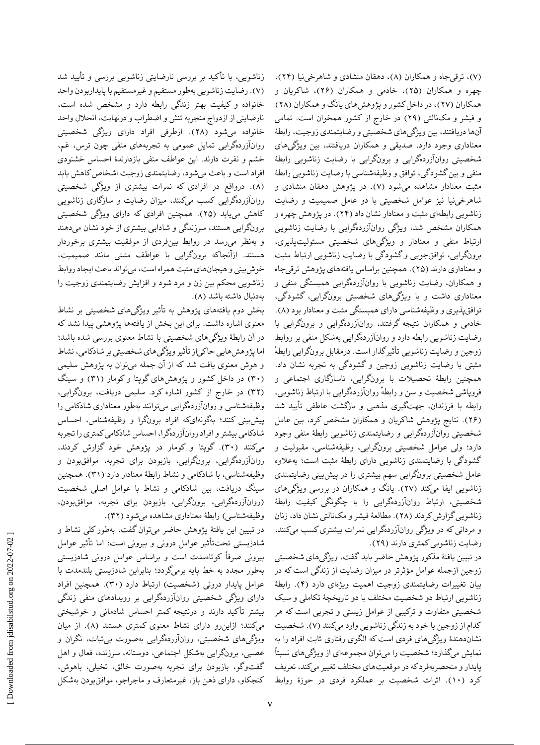زناشویی، با تأکید بر بررسی نارضایتی زناشویی بررسی و تأیید شد )۷(. رضایت زناشویی بهطور مستقیم و غیرمستقیم با پایداربودن واحد خانواده و کیفیت بهتر زندگی رابطه دارد و مشخص شده است، نارضایتی از ازدواج منجربه تنش و اضطراب و درنهایت، انحالل واحد خانواده میشود )۲۸(. ازطرفی افراد دارای ویژگی شخصیتی روانآزردهگرایی تمایل عمومی به تجربههای منفی چون ترس، غم، خشم و نفرت دارند. این عواطف منفی بازدارندٔه احساس خشنودی افراد است و باعث میشود، رضایتمندی زوجیت اشخاصکاهش یابد )۸(. درواقع در افرادی که نمرات بیشتری از ویژگی شخصیتی روانآزردهگرایی کسب میکنند، میزان رضایت و سازگاری زناشویی کاهش مییابد )۲۵(. همچنین افرادی که دارای ویژگی شخصیتی برونگرایی هستند، سرزندگی و شادابی بیشتری از خود نشان میدهند و بهنظر میرسد در روابط بینفردی از موفقیت بیشتری برخوردار هستند. ازآنجاکه برونگرایی با عواطف مثبتی مانند صمیمیت، خوشبینی و هیجانهای مثبت همراه است، میتواند باعث ایجاد روابط زناشویی محکم بین زن و مرد شود و افزایش رضایتمندی زوجیت را بهدنبال داشته باشد )۸(.

بخش دوم یافتههای پژوهش به تأثیر ویژگیهای شخصیتی بر نشاط معنوی اشاره داشت. برای این بخش از یافتهها پژوهشی پیدا نشد که در آن رابطٔه ویژگیهای شخصیتی با نشاط معنوی بررسی شده باشد؛ اما پژوهشهایی حاکیاز تأثیر ویژگیهای شخصیتی بر شادکامی، نشاط و هوش معنوی یافت شد که از آن جمله میتوان به پژوهش سلیمی )۳۰( در داخل کشور و پژوهشهای گوپتا و کومار )۳1( و سینگ )۳۲( در خارج از کشور اشاره کرد. سلیمی دریافت، برونگرایی، وظیفهشناسی و روانآزردهگرایی میتوانند بهطور معناداری شادکامی را پیشبینی کنند؛ بهگونهایکه افراد برونگرا و وظیفهشناس، احساس شادکامی بیشتر و افراد روانآزردهگرا، احساس شادکامی کمتری را تجربه میکنند )۳۰(. گوپتا و کومار در پژوهش خود گزارش کردند، روانآزردهگرایی، برونگرایی، بازبودن برای تجربه، موافقبودن و وظیفهشناسی، با شادکامی و نشاط رابطٔه معنادار دارد )۳1(. همچنین سینگ دریافت، بین شادکامی و نشاط با عوامل اصلی شخصیت )روانآزردهگرایی، برونگرایی، بازبودن برای تجربه، موافقبودن، وظیفهشناسی) رابطهٔ معناداری مشاهده میشود (۳۲).

در تبیین این یافتٔه پژوهش حاضر میتوان گفت، بهطور کلی نشاط و شادزیستی تحتتأثیر عوامل درونی و بیرونی است؛ اما تأثیر عوامل بیرونی صرفاً کوتاهمدت است و براساس عوامل درونی شادزیستی بهطور مجدد به خط پایه برمیگردد؛ بنابراین شادزیستی بلندمدت با عوامل پایدار درونی (شخصیت) ارتباط دارد (۳۰). همچنین افراد دارای ویژگی شخصیتی روانآزردهگرایی بر رویدادهای منفی زندگی بیشتر تأکید دارند و درنتیجه کمتر احساس شادمانی و خوشبختی میکنند؛ ازاینرو دارای نشاط معنوی کمتری هستند )۸(. از میان ویژگیهای شخصیتی، روانآزردهگرایی بهصورت بیثبات، نگران و عصبی، برونگرایی بهشکل اجتماعی، دوستانه، سرزنده، فعال و اهل گفتوگو، بازبودن برای تجربه بهصورت خالق، تخیلی، باهوش، کنجکاو، دارای ذهن باز، غیرمتعارف و ماجراجو، موافقبودن بهشکل

(۷)، ترقیجاه و همکاران (۸)، دهقان منشادی و شاهرخینیا (۲۴)، چهره و همکاران )۲۵(، خادمی و همکاران )۲۶(، شاکریان و همکاران )۲۷(، در داخل کشور و پژوهشهای یانگ و همکاران )۲۸( و فیشر و مکنالتی )۲۹( در خارج از کشور همخوان است. تمامی آنها دریافتند، بین ویژگیهای شخصیتی و رضایتمندی زوجیت، رابطٔه معناداری وجود دارد. صدیقی و همکاران دریافتند، بین ویژگیهای شخصیتی روانآزردهگرایی و برونگرایی با رضایت زناشویی رابطٔه منفی و بینگشودگی، توافق و وظیفهشناسی با رضایت زناشویی رابطٔه مثبت معنادار مشاهده میشود )۷(. در پژوهش دهقان منشادی و شاهرخینیا نیز عوامل شخصیتی با دو عامل صمیمیت و رضایت زناشویی رابطهای مثبت و معنادار نشان داد )۲۴(. در پژوهش چهره و همکاران مشخص شد، ویژگی روانآزردهگرایی با رضایت زناشویی ارتباط منفی و معنادار و ویژگیهای شخصیتی مسئولیتپذیری، برونگرایی، توافقجویی و گشودگی با رضایت زناشویی ارتباط مثبت و معناداری دارند )۲۵(. همچنین براساس یافتههای پژوهش ترقیجاه و همکاران، رضایت زناشویی با روانآزردهگرایی همبستگی منفی و معناداری داشت و با ویژگیهای شخصیتی برونگرایی، گشودگی، توافقپذیری و وظیفهشناسی دارای همبستگی مثبت و معنادار بود (۸). خادمی و همکاران نتیجه گرفتند، روانآزردهگرایی و برونگرایی با رضایت زناشویی رابطه دارد و روانآزردهگرایی بهشکل منفی بر روابط زوجین و رضایت زناشویی تأثیرگذار است. درمقابل برونگرایی رابطهٔ مثبتی با رضایت زناشویی زوجین و گشودگی به تجربه نشان داد. همچنین رابطٔه تحصیالت با برونگرایی، ناسازگاری اجتماعی و ٔ فروپاشی شخصیت و سن و رابطه روانآزردهگرایی با ارتباط زناشویی، رابطه با فرزندان، جهتگیری مذهبی و بازگشت عاطفی تأیید شد )۲۶(. نتایج پژوهش شاکریان و همکاران مشخص کرد، بین عامل شخصیتی روانآزردهگرایی و رضایتمندی زناشویی رابطٔه منفی وجود دارد؛ ولی عوامل شخصیتی برونگرایی، وظیفهشناسی، مقبولیت و گشودگی با رضایتمندی زناشویی دارای رابطٔه مثبت است؛ بهعالوه عامل شخصیتی برونگرایی سهم بیشتری را در پیشبینی رضایتمندی زناشویی ایفا میکند )۲۷(. یانگ و همکاران در بررسی ویژگیهای شخصیتی، ارتباط روانآزردهگرایی را با چگونگی کیفیت رابطٔه زناشویی گزارش کردند (۲۸). مطالعهٔ فیشر و مکنالتی نشان داد، زنان و مردانی که در ویژگی روانآزردهگرایی نمرات بیشتری کسب میکنند، رضایت زناشویی کمتری دارند )۲۹(.

در تبیین یافتٔه مذکور پژوهش حاضر باید گفت، ویژگیهای شخصیتی زوجین ازجمله عوامل مؤثرتر در میزان رضایت از زندگی است که در بیان تغییرات رضایتمندی زوجیت اهمیت ویژهای دارد )۴(. رابطٔه زناشویی ارتباط دو شخصیت مختلف با دو تاریخچٔه تکاملی و سبک شخصیتی متفاوت و ترکیبی از عوامل زیستی و تجربی است که هر کدام از زوجین با خود به زندگی زناشویی وارد میکنند )۷(. شخصیت نشاندهندٔه ویژگیهای فردی است که الگوی رفتاری ثابت افراد را به نمایش میگذارد؛ شخصیت را میتوان مجموعهای از ویژگیهای نسبتاً پایدار و منحصربهفرد که در موقعیتهای مختلف تغییر میکند، تعریف کرد )1۰(. اثرات شخصیت بر عملکرد فردی در حوزٔه روابط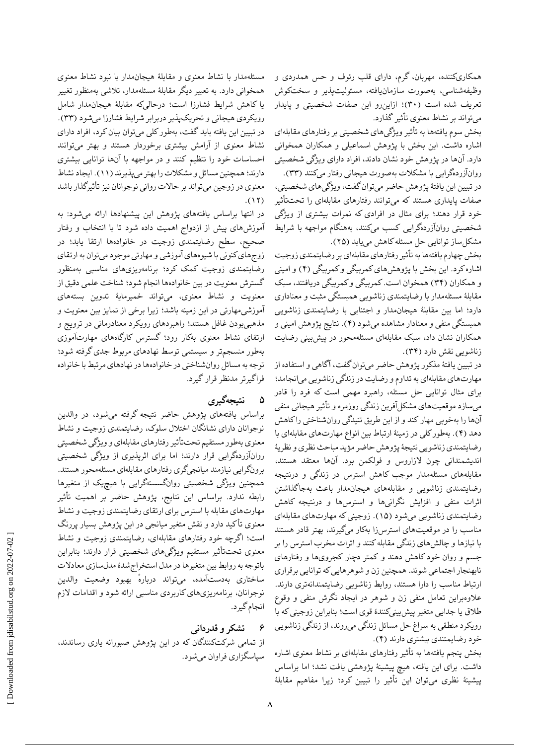همکاریکننده، مهربان، گرم، دارای قلب رئوف و حس همدردی و وظیفهشناسی، بهصورت سازمانیافته، مسئولیتپذیر و سختکوش تعریف شده است )۳۰(؛ ازاینرو این صفات شخصیتی و پایدار میتواند بر نشاط معنوی تأثیر گذارد.

بخش سوم یافتهها به تأثیر ویژگیهای شخصیتی بر رفتارهای مقابلهای اشاره داشت. این بخش با پژوهش اسماعیلی و همکاران همخوانی دارد. آنها در پژوهش خود نشان دادند، افراد دارای ویژگی شخصیتی روانآزردهگرایی با مشکالت بهصورت هیجانی رفتار میکنند )۳۳(. در تبیین این یافتٔه پژوهش حاضر میتوان گفت، ویژگیهای شخصیتی، صفات پایداری هستند که میتوانند رفتارهای مقابلهای را تحتتأثیر خود قرار دهند؛ برای مثال در افرادی که نمرات بیشتری از ویژگی شخصیتی روانآزردهگرایی کسب میکنند، بههنگام مواجهه با شرایط مشکل ساز توانایی حل مسئله کاهش می یابد (۲۵).

بخش چهارم یافتهها به تأثیر رفتارهای مقابلهای بر رضایتمندی زوجیت اشاره کرد. این بخش با پژوهشهای کمربیگی و کمربیگی )۴( و امینی و همکاران )۳۴( همخوان است. کمربیگی و کمربیگی دریافتند، سبک مقابلٔه مسئلهمدار با رضایتمندی زناشویی همبستگی مثبت و معناداری دارد؛ اما بین مقابلٔه هیجانمدار و اجتنابی با رضایتمندی زناشویی همبستگی منفی و معنادار مشاهده میشود )۴(. نتایج پژوهش امینی و همکاران نشان داد، سبک مقابلهای مسئلهمحور در پیشبینی رضایت زناشویی نقش دارد (۳۴).

در تبیین یافتٔه مذکور پژوهش حاضر میتوان گفت، آگاهی و استفاده از مهارتهای مقابلهای به تداوم و رضایت در زندگی زناشویی میانجامد؛ برای مثال توانایى حل مسئله، راهبرد مهمى است که فرد را قادر مىسازد موقعیتهاى مشکلآفرین زندگى روزمره و تأثیر هیجانى منفى آنها را بهخوبى مهار کند و از این طریق تنیدگى روانشناختى را کاهش دهد (۴). بهطور کلی در زمینهٔ ارتباط بین انواع مهارتهای مقابلهای با رضایتمندی زناشویی نتیجٔه پژوهش حاضر مؤید مباحث نظری و نظریٔه اندیشمندانی چون الزاروس و فولکمن بود. آنها معتقد هستند، مقابلههای مسئلهمدار موجب کاهش استرس در زندگی و درنتیجه رضایتمندی زناشویی و مقابلههای هیجانمدار باعث بهجاگذاشتن اثرات منفی و افزایش نگرانیها و استرسها و درنتیجه کاهش رضایتمندی زناشویی میشود )1۵(. زوجینی که مهارتهای مقابلهای مناسب را در موقعیتهای استرسزا بهکار میگیرند، بهتر قادر هستند با نیازها و چالشهای زندگی مقابله کنند و اثرات مخرب استرس را بر جسم و روان خود کاهش دهند و کمتر دچار کجرویها و رفتارهای نابهنجار اجتماعی شوند. همچنین زن و شوهرهایى که توانایى برقرارى ارتباط مناسب را دارا هستند، روابط زناشویى رضایتمندانهترى دارند. عالوهبراین تعامل منفى زن و شوهر در ایجاد نگرش منفى و وقوع طالق یا جدایى متغیر پیشبینیکنندٔه قوى است؛ بنابراین زوجینی که با رویکرد منطقی به سراغ حل مسائل زندگی میروند، از زندگی زناشویی خود رضایمتندی بیشتری دارند )۴(.

بخش پنجم یافتهها به تأثیر رفتارهای مقابلهای بر نشاط معنوی اشاره داشت. برای این یافته، هیچ پیشینٔه پژوهشی یافت نشد؛ اما براساس پیشینٔه نظری میتوان این تأثیر را تبیین کرد؛ زیرا مفاهیم مقابلٔه

مسئلهمدار با نشاط معنوی و مقابلٔه هیجانمدار با نبود نشاط معنوی همخوانی دارد. به تعبیر دیگر مقابلٔه مسئلهمدار، تالشی بهمنظور تغییر یا کاهش شرایط فشارزا است؛ درحالیکه مقابلٔه هیجانمدار شامل رویکردی هیجانی و تحریکپذیر دربرابر شرایط فشارزا میشود )۳۳(. در تبیین این یافته باید گفت، بهطور کلی میتوان بیان کرد، افراد دارای نشاط معنوی از آرامش بیشتری برخوردار هستند و بهتر میتوانند احساسات خود را تنظیم کنند و در مواجهه با آنها توانایی بیشتری دارند؛ همچنین مسائل و مشکالت را بهتر میپذیرند )11(. ایجاد نشاط معنوی در زوجین میتواند بر حاالت روانی نوجوانان نیز تأثیرگذار باشد  $.$ (1۲)

در انتها براساس یافتههای پژوهش این پیشنهادها ارائه میشود: به آموزشهای پیش از ازدواج اهمیت داده شود تا با انتخاب و رفتار صحیح، سطح رضایتمندی زوجیت در خانوادهها ارتقا یابد؛ در زوجهای کنونی با شیوههای آموزشی و مهارتی موجود میتوان به ارتقای رضایتمندی زوجیت کمک کرد؛ برنامهریزیهای مناسبی بهمنظور گسترش معنویت در بین خانوادهها انجام شود؛ شناخت علمی دقیق از معنویت و نشاط معنوی، میتواند خمیرمایٔه تدوین بستههای آموزشیمهارتی در این زمینه باشد؛ زیرا برخی از تمایز بین معنویت و مذهبیبودن غافل هستند؛ راهبردهای رویکرد معنادرمانی در ترویج و ارتقای نشاط معنوی بهکار رود؛ گسترس کارگاههای مهارتآموزی بهطور منسجمتر و سیستمی توسط نهادهای مربوط جدی گرفته شود؛ توجه به مسائل روانشناختی در خانوادهها در نهادهای مرتبط با خانواده فراگیرتر مدنظر قرار گیرد.

# **۵ نتیجهگیری**

براساس یافتههای پژوهش حاضر نتیجه گرفته میشود، در والدین نوجوانان دارای نشانگان اختالل سلوک، رضایتمندی زوجیت و نشاط معنوی بهطور مستقیم تحتتأثیر رفتارهای مقابلهای و ویژگی شخصیتی روانآزردهگرایی قرار دارند؛ اما برای اثرپذیری از ویژگی شخصیتی برونگرایی نیازمند میانجیگری رفتارهای مقابلهای مسئلهمحور هستند. همچنین ویژگی شخصیتی روانگسستهگرایی با هیچیک از متغیرها رابطه ندارد. براساس این نتایج، پژوهش حاضر بر اهمیت تأثیر مهارتهای مقابله با استرس برای ارتقای رضایتمندی زوجیت و نشاط معنوی تأکید دارد و نقش متغیر میانجی در این پژوهش بسیار پررنگ است؛ اگرچه خود رفتارهای مقابلهای، رضایتمندی زوجیت و نشاط معنوی تحتتأثیر مستقیم ویژگیهای شخصیتی قرار دارند؛ بنابراین باتوجه به روابط بین متغیرها در مدل استخراجشدٔه مدلسازی معادالت ساختاری بهدستآمده، میتواند ٔ درباره بهبود وضعیت والدین نوجوانان، برنامهریزیهای کاربردی مناسبی ارائه شود و اقدامات الزم انجام گیرد.

# **6 تشکر و قدردانی**

از تمامی شرکتکنندگان که در این پژوهش صبورانه یاری رساندند، سپاسگزاری فراوان میشود.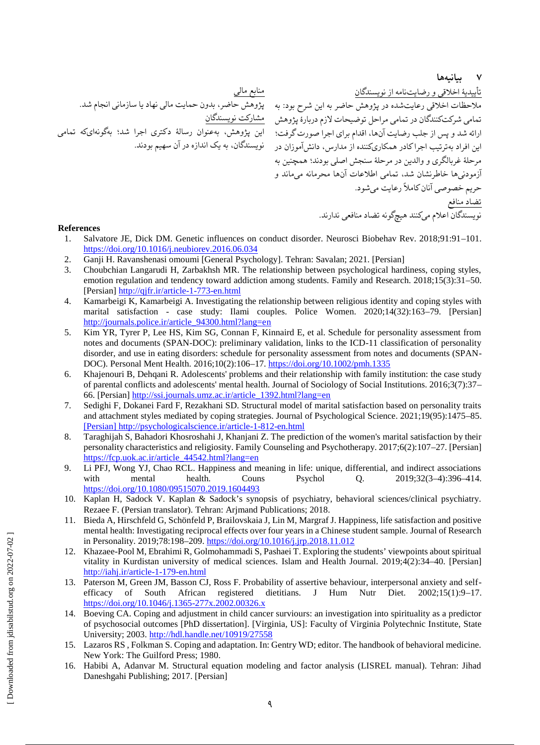**7 بیانیهها**

نویسندگان اعالم میکنند هیچگونه تضاد منافعی ندارند.

تأییدیٔه اخالقی و رضایتنامه از نویسندگان مالحظات اخالقی رعایتشده در پژوهش حاضر به این شرح بود: به تمامی شرکتکنندگان در تمامی مراحل توضیحات الزم دربارٔه پژوهش ارائه شد و پس از جلب رضایت آنها، اقدام برای اجرا صورت گرفت؛ این افراد بهترتیب اجرا کادر همکاریکننده از مدارس، دانشآموزان در مرحلٔه غربالگری و والدین در مرحلٔه سنجش اصلی بودند؛ همچنین به آزمودنیها خاطرنشان شد، تمامی اطالعات آنها محرمانه میماند و حریم خصوصی آنان کامالً رعایت میشود. تضاد منافع منابع مالی پژوهش حاضر، بدون حمایت مالی نهاد یا سازمانی انجام شد. مشارکت نویسندگان این پژوهش، بهعنوان رسالٔه دکتری اجرا شد؛ بهگونهایکه تمامی نویسندگان، به یک اندازه در آن سهیم بودند.

#### **References**

- 1. Salvatore JE, Dick DM. Genetic influences on conduct disorder. Neurosci Biobehav Rev. 2018;91:91–101. <https://doi.org/10.1016/j.neubiorev.2016.06.034>
- 2. Ganji H. Ravanshenasi omoumi [General Psychology]. Tehran: Savalan; 2021. [Persian]
- 3. Choubchian Langarudi H, Zarbakhsh MR. The relationship between psychological hardiness, coping styles, emotion regulation and tendency toward addiction among students. Family and Research. 2018;15(3):31–50. [Persian]<http://qjfr.ir/article-1-773-en.html>
- 4. Kamarbeigi K, Kamarbeigi A. Investigating the relationship between religious identity and coping styles with marital satisfaction - case study: Ilami couples. Police Women. 2020;14(32):163–79. [Persian] [http://journals.police.ir/article\\_94300.html?lang=en](http://journals.police.ir/article_94300.html?lang=en)
- 5. Kim YR, Tyrer P, Lee HS, Kim SG, Connan F, Kinnaird E, et al. Schedule for personality assessment from notes and documents (SPAN-DOC): preliminary validation, links to the ICD-11 classification of personality disorder, and use in eating disorders: schedule for personality assessment from notes and documents (SPAN-DOC). Personal Ment Health. 2016;10(2):106–17.<https://doi.org/10.1002/pmh.1335>
- 6. Khajenouri B, Dehqani R. Adolescents' problems and their relationship with family institution: the case study of parental conflicts and adolescents' mental health. Journal of Sociology of Social Institutions. 2016;3(7):37– 66. [Persian] [http://ssi.journals.umz.ac.ir/article\\_1392.html?lang=en](http://ssi.journals.umz.ac.ir/article_1392.html?lang=en)
- 7. Sedighi F, Dokanei Fard F, Rezakhani SD. Structural model of marital satisfaction based on personality traits and attachment styles mediated by coping strategies. Journal of Psychological Science. 2021;19(95):1475–85. [\[Persian\]](https://psychologicalscience.ir/article-1-812-fa.html) <http://psychologicalscience.ir/article-1-812-en.html>
- 8. Taraghijah S, Bahadori Khosroshahi J, Khanjani Z. The prediction of the women's marital satisfaction by their personality characteristics and religiosity. Family Counseling and Psychotherapy. 2017;6(2):107–27. [Persian] [https://fcp.uok.ac.ir/article\\_44542.html?lang=en](https://fcp.uok.ac.ir/article_44542.html?lang=en)
- 9. Li PFJ, Wong YJ, Chao RCL. Happiness and meaning in life: unique, differential, and indirect associations with mental health. Couns Psychol Q. 2019;32(3–4):396–414. <https://doi.org/10.1080/09515070.2019.1604493>
- 10. Kaplan H, Sadock V. Kaplan & Sadock's synopsis of psychiatry, behavioral sciences/clinical psychiatry. Rezaee F. (Persian translator). Tehran: Arjmand Publications; 2018.
- 11. Bieda A, Hirschfeld G, Schönfeld P, Brailovskaia J, Lin M, Margraf J. Happiness, life satisfaction and positive mental health: Investigating reciprocal effects over four years in a Chinese student sample. Journal of Research in Personality. 2019;78:198–209.<https://doi.org/10.1016/j.jrp.2018.11.012>
- 12. Khazaee-Pool M, Ebrahimi R, Golmohammadi S, Pashaei T. Exploring the students' viewpoints about spiritual vitality in Kurdistan university of medical sciences. Islam and Health Journal. 2019;4(2):34–40. [Persian] <http://iahj.ir/article-1-179-en.html>
- 13. Paterson M, Green JM, Basson CJ, Ross F. Probability of assertive behaviour, interpersonal anxiety and selfefficacy of South African registered dietitians. J Hum Nutr Diet. 2002;15(1):9–17. <https://doi.org/10.1046/j.1365-277x.2002.00326.x>
- 14. Boeving CA. Coping and adjustment in child cancer surviours: an investigation into spirituality as a predictor of psychosocial outcomes [PhD dissertation]. [Virginia, US]: Faculty of Virginia Polytechnic Institute, State University; 2003.<http://hdl.handle.net/10919/27558>
- 15. Lazaros RS , Folkman S. Coping and adaptation. In: Gentry WD; editor. The handbook of behavioral medicine. New York: The Guilford Press; 1980.
- 16. Habibi A, Adanvar M. Structural equation modeling and factor analysis (LISREL manual). Tehran: Jihad Daneshgahi Publishing; 2017. [Persian]